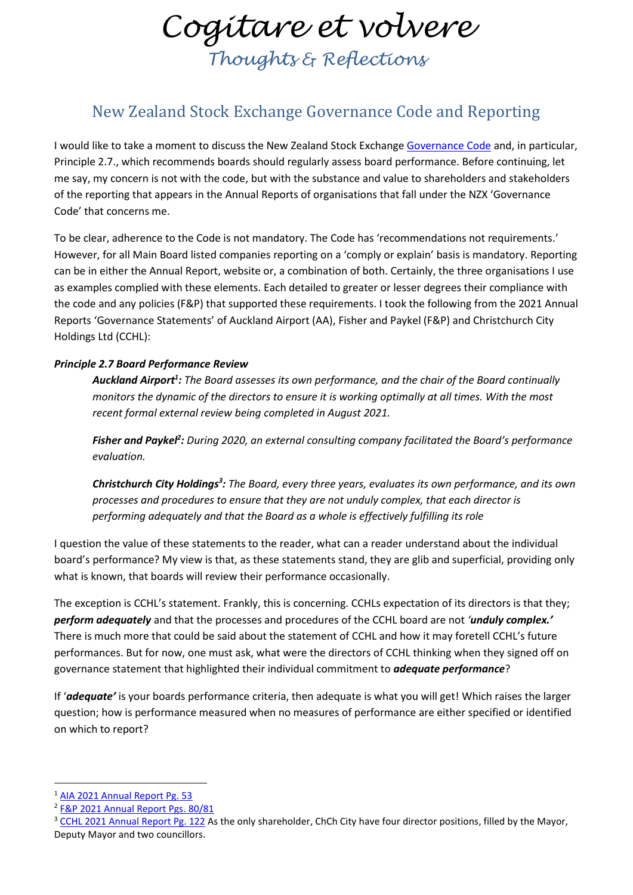*Cogitare et volvere Thoughts & Reflections*

## New Zealand Stock Exchange Governance Code and Reporting

I would like to take a moment to discuss the New Zealand Stock Exchange [Governance Code](https://nzx-prod-c84t3un4.s3.ap-southeast-2.amazonaws.com/sJfnMk5Qmx53WDpbND3r9N28?response-content-disposition=inline%3B%20filename%3D%22Appendix%201%20-%20NZX%20Corporate%20Governance%20Code.pdf%22%3B%20filename%2A%3DUTF-8%27%27Appendix%25201%2520-%2520NZX%2520Corporate%2520Governance%2520Code.pdf&response-content-type=application%2Fpdf&X-Amz-Algorithm=AWS4-HMAC-SHA256&X-Amz-Credential=AKIA2NFHJDRLNWWMDHPT%2F20220203%2Fap-southeast-2%2Fs3%2Faws4_request&X-Amz-Date=20220203T010550Z&X-Amz-Expires=300&X-Amz-SignedHeaders=host&X-Amz-Signature=1386775ae6ba11ec42590b94f564af9b13ce3ccbbba69d4a87466f342739e49a) and, in particular, Principle 2.7., which recommends boards should regularly assess board performance. Before continuing, let me say, my concern is not with the code, but with the substance and value to shareholders and stakeholders of the reporting that appears in the Annual Reports of organisations that fall under the NZX 'Governance Code' that concerns me.

To be clear, adherence to the Code is not mandatory. The Code has 'recommendations not requirements.' However, for all Main Board listed companies reporting on a 'comply or explain' basis is mandatory. Reporting can be in either the Annual Report, website or, a combination of both. Certainly, the three organisations I use as examples complied with these elements. Each detailed to greater or lesser degrees their compliance with the code and any policies (F&P) that supported these requirements. I took the following from the 2021 Annual Reports 'Governance Statements' of Auckland Airport (AA), Fisher and Paykel (F&P) and Christchurch City Holdings Ltd (CCHL):

## *Principle 2.7 Board Performance Review*

*Auckland Airport 1 : The Board assesses its own performance, and the chair of the Board continually monitors the dynamic of the directors to ensure it is working optimally at all times. With the most recent formal external review being completed in August 2021.*

*Fisher and Paykel<sup>2</sup> : During 2020, an external consulting company facilitated the Board's performance evaluation.*

*Christchurch City Holdings<sup>3</sup> : The Board, every three years, evaluates its own performance, and its own processes and procedures to ensure that they are not unduly complex, that each director is performing adequately and that the Board as a whole is effectively fulfilling its role*

I question the value of these statements to the reader, what can a reader understand about the individual board's performance? My view is that, as these statements stand, they are glib and superficial, providing only what is known, that boards will review their performance occasionally.

The exception is CCHL's statement. Frankly, this is concerning. CCHLs expectation of its directors is that they; *perform adequately* and that the processes and procedures of the CCHL board are not *'unduly complex.'* There is much more that could be said about the statement of CCHL and how it may foretell CCHL's future performances. But for now, one must ask, what were the directors of CCHL thinking when they signed off on governance statement that highlighted their individual commitment to *adequate performance*?

If '*adequate'* is your boards performance criteria, then adequate is what you will get! Which raises the larger question; how is performance measured when no measures of performance are either specified or identified on which to report?

<sup>&</sup>lt;sup>1</sup> [AIA 2021 Annual Report Pg. 53](file:///C:/Users/Gryphon%20Admin/AppData/Local/Temp/AIA%20-%20FY21%20Annual%20Report.pdf)

<sup>&</sup>lt;sup>2</sup> [F&P 2021 Annual Report Pgs. 80/81](https://resources.fphcare.com/content/2021-fph-annual-report.pdf)

<sup>&</sup>lt;sup>3</sup> [CCHL 2021 Annual Report Pg. 122](https://www.cchl.co.nz/uploads/images/CCHL-Annual-report-2021.pdf) As the only shareholder, ChCh City have four director positions, filled by the Mayor, Deputy Mayor and two councillors.